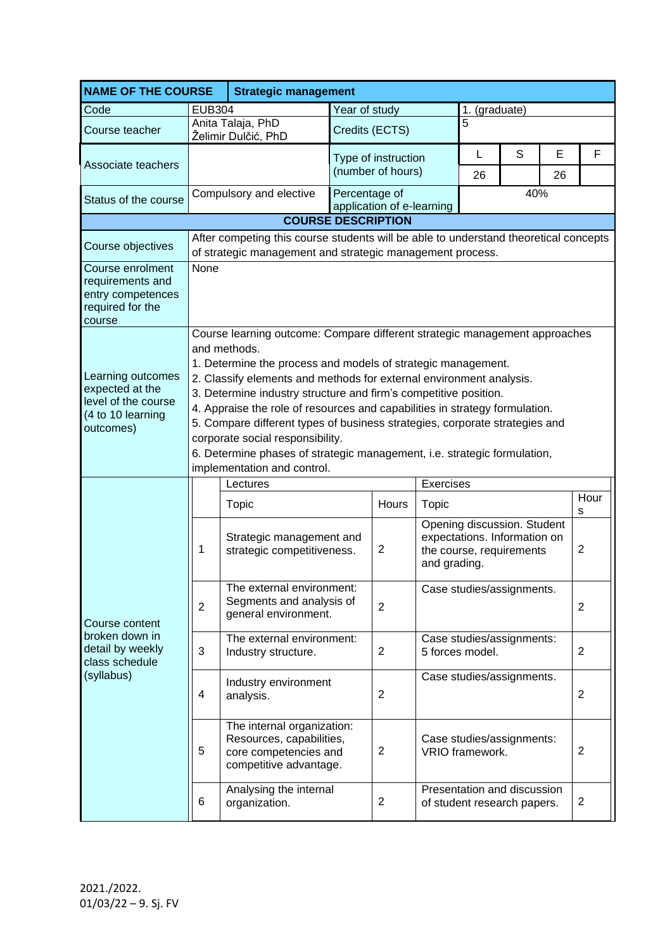| <b>NAME OF THE COURSE</b><br><b>Strategic management</b>                                      |                                                                                                                                                                                                                                                                                                                                                                                                                                                                                                                                                                                                                    |                                                                                                           |                                            |                                             |                                              |                                                                                                         |   |                |                |  |  |
|-----------------------------------------------------------------------------------------------|--------------------------------------------------------------------------------------------------------------------------------------------------------------------------------------------------------------------------------------------------------------------------------------------------------------------------------------------------------------------------------------------------------------------------------------------------------------------------------------------------------------------------------------------------------------------------------------------------------------------|-----------------------------------------------------------------------------------------------------------|--------------------------------------------|---------------------------------------------|----------------------------------------------|---------------------------------------------------------------------------------------------------------|---|----------------|----------------|--|--|
| Code                                                                                          | <b>EUB304</b>                                                                                                                                                                                                                                                                                                                                                                                                                                                                                                                                                                                                      |                                                                                                           | Year of study                              |                                             |                                              | 1. (graduate)                                                                                           |   |                |                |  |  |
| Course teacher                                                                                |                                                                                                                                                                                                                                                                                                                                                                                                                                                                                                                                                                                                                    | Anita Talaja, PhD<br>Želimir Dulčić, PhD                                                                  | Credits (ECTS)                             |                                             | 5                                            |                                                                                                         |   |                |                |  |  |
| Associate teachers                                                                            |                                                                                                                                                                                                                                                                                                                                                                                                                                                                                                                                                                                                                    |                                                                                                           | Type of instruction<br>(number of hours)   |                                             |                                              | L<br>26                                                                                                 | S | E<br>26        | F              |  |  |
| Status of the course                                                                          |                                                                                                                                                                                                                                                                                                                                                                                                                                                                                                                                                                                                                    | Compulsory and elective                                                                                   | Percentage of<br>application of e-learning |                                             |                                              | 40%                                                                                                     |   |                |                |  |  |
|                                                                                               |                                                                                                                                                                                                                                                                                                                                                                                                                                                                                                                                                                                                                    | <b>COURSE DESCRIPTION</b>                                                                                 |                                            |                                             |                                              |                                                                                                         |   |                |                |  |  |
| Course objectives                                                                             | After competing this course students will be able to understand theoretical concepts<br>of strategic management and strategic management process.                                                                                                                                                                                                                                                                                                                                                                                                                                                                  |                                                                                                           |                                            |                                             |                                              |                                                                                                         |   |                |                |  |  |
| Course enrolment<br>requirements and<br>entry competences<br>required for the<br>course       | None                                                                                                                                                                                                                                                                                                                                                                                                                                                                                                                                                                                                               |                                                                                                           |                                            |                                             |                                              |                                                                                                         |   |                |                |  |  |
| Learning outcomes<br>expected at the<br>level of the course<br>(4 to 10 learning<br>outcomes) | Course learning outcome: Compare different strategic management approaches<br>and methods.<br>1. Determine the process and models of strategic management.<br>2. Classify elements and methods for external environment analysis.<br>3. Determine industry structure and firm's competitive position.<br>4. Appraise the role of resources and capabilities in strategy formulation.<br>5. Compare different types of business strategies, corporate strategies and<br>corporate social responsibility.<br>6. Determine phases of strategic management, i.e. strategic formulation,<br>implementation and control. |                                                                                                           |                                            |                                             |                                              |                                                                                                         |   |                |                |  |  |
|                                                                                               | Exercises<br>Lectures                                                                                                                                                                                                                                                                                                                                                                                                                                                                                                                                                                                              |                                                                                                           |                                            |                                             |                                              |                                                                                                         |   |                |                |  |  |
| Course content<br>broken down in<br>detail by weekly<br>class schedule<br>(syllabus)          |                                                                                                                                                                                                                                                                                                                                                                                                                                                                                                                                                                                                                    | Topic                                                                                                     |                                            | Hours                                       | Topic                                        |                                                                                                         |   |                | Hour<br>s      |  |  |
|                                                                                               | 1                                                                                                                                                                                                                                                                                                                                                                                                                                                                                                                                                                                                                  | Strategic management and<br>strategic competitiveness.                                                    |                                            | $\overline{2}$                              |                                              | Opening discussion. Student<br>expectations. Information on<br>the course, requirements<br>and grading. |   |                | $\overline{2}$ |  |  |
|                                                                                               | $\overline{2}$                                                                                                                                                                                                                                                                                                                                                                                                                                                                                                                                                                                                     | The external environment:<br>Segments and analysis of<br>general environment.                             |                                            | $\overline{2}$                              | Case studies/assignments.                    |                                                                                                         |   |                | $\overline{2}$ |  |  |
|                                                                                               | 3                                                                                                                                                                                                                                                                                                                                                                                                                                                                                                                                                                                                                  | The external environment:<br>Industry structure.                                                          |                                            | $\overline{c}$                              |                                              | Case studies/assignments:<br>5 forces model.                                                            |   |                | 2              |  |  |
|                                                                                               | 4                                                                                                                                                                                                                                                                                                                                                                                                                                                                                                                                                                                                                  | Industry environment<br>analysis.                                                                         |                                            | Case studies/assignments.<br>$\overline{2}$ |                                              |                                                                                                         |   | $\overline{2}$ |                |  |  |
|                                                                                               | 5                                                                                                                                                                                                                                                                                                                                                                                                                                                                                                                                                                                                                  | The internal organization:<br>Resources, capabilities,<br>core competencies and<br>competitive advantage. |                                            | $\overline{2}$                              | Case studies/assignments:<br>VRIO framework. |                                                                                                         |   |                | 2              |  |  |
|                                                                                               | 6                                                                                                                                                                                                                                                                                                                                                                                                                                                                                                                                                                                                                  | Analysing the internal<br>organization.                                                                   |                                            | $\overline{2}$                              |                                              | Presentation and discussion<br>of student research papers.                                              |   |                | $\overline{2}$ |  |  |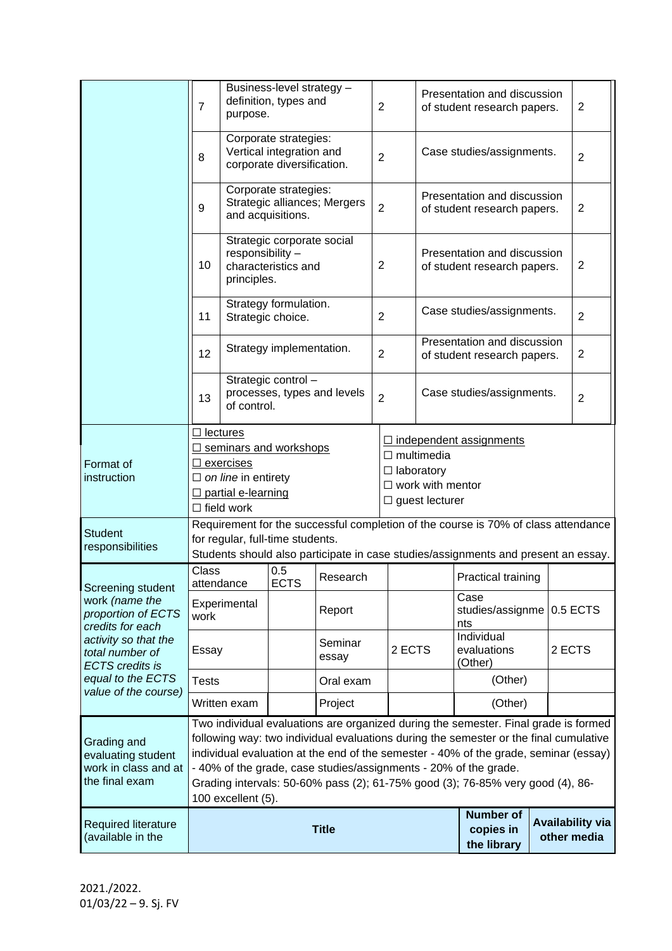|                                                                                                                                                    | Business-level strategy -<br>definition, types and<br>$\overline{7}$<br>purpose.                                                                                                                                                                                                                                                                                                                                                                 |                                                                                      |                              |                  | $\overline{2}$                                                                     |                                                            |                                        | Presentation and discussion<br>of student research papers. |                | $\overline{2}$ |                |
|----------------------------------------------------------------------------------------------------------------------------------------------------|--------------------------------------------------------------------------------------------------------------------------------------------------------------------------------------------------------------------------------------------------------------------------------------------------------------------------------------------------------------------------------------------------------------------------------------------------|--------------------------------------------------------------------------------------|------------------------------|------------------|------------------------------------------------------------------------------------|------------------------------------------------------------|----------------------------------------|------------------------------------------------------------|----------------|----------------|----------------|
|                                                                                                                                                    | 8                                                                                                                                                                                                                                                                                                                                                                                                                                                | Corporate strategies:<br>Vertical integration and<br>corporate diversification.      |                              | $\overline{2}$   |                                                                                    | Case studies/assignments.                                  |                                        |                                                            | $\overline{2}$ |                |                |
|                                                                                                                                                    | 9                                                                                                                                                                                                                                                                                                                                                                                                                                                | Corporate strategies:<br>and acquisitions.                                           | Strategic alliances; Mergers | $\overline{2}$   |                                                                                    | Presentation and discussion<br>of student research papers. |                                        | $\overline{2}$                                             |                |                |                |
|                                                                                                                                                    | 10                                                                                                                                                                                                                                                                                                                                                                                                                                               | Strategic corporate social<br>responsibility -<br>characteristics and<br>principles. |                              | $\overline{2}$   |                                                                                    | Presentation and discussion<br>of student research papers. |                                        |                                                            | 2              |                |                |
|                                                                                                                                                    | 11                                                                                                                                                                                                                                                                                                                                                                                                                                               | Strategy formulation.<br>Strategic choice.                                           |                              |                  | $\overline{2}$                                                                     |                                                            | Case studies/assignments.              |                                                            |                |                | $\overline{2}$ |
|                                                                                                                                                    | 12                                                                                                                                                                                                                                                                                                                                                                                                                                               |                                                                                      | Strategy implementation.     |                  |                                                                                    |                                                            |                                        | Presentation and discussion<br>of student research papers. |                |                | 2              |
|                                                                                                                                                    | 13                                                                                                                                                                                                                                                                                                                                                                                                                                               | Strategic control -<br>processes, types and levels<br>of control.                    |                              |                  | $\overline{2}$                                                                     |                                                            |                                        | Case studies/assignments.                                  |                |                | 2              |
|                                                                                                                                                    | $\Box$ lectures                                                                                                                                                                                                                                                                                                                                                                                                                                  |                                                                                      |                              |                  |                                                                                    |                                                            |                                        |                                                            |                |                |                |
|                                                                                                                                                    | □ seminars and workshops                                                                                                                                                                                                                                                                                                                                                                                                                         |                                                                                      |                              |                  | $\Box$ independent assignments<br>$\Box$ multimedia                                |                                                            |                                        |                                                            |                |                |                |
| Format of<br>instruction                                                                                                                           | $\Box$ exercises                                                                                                                                                                                                                                                                                                                                                                                                                                 |                                                                                      |                              |                  | $\Box$ laboratory                                                                  |                                                            |                                        |                                                            |                |                |                |
|                                                                                                                                                    | $\Box$ on line in entirety<br>$\Box$ partial e-learning                                                                                                                                                                                                                                                                                                                                                                                          |                                                                                      |                              |                  | $\Box$ work with mentor                                                            |                                                            |                                        |                                                            |                |                |                |
|                                                                                                                                                    | $\Box$ field work                                                                                                                                                                                                                                                                                                                                                                                                                                |                                                                                      |                              |                  |                                                                                    |                                                            | $\Box$ guest lecturer                  |                                                            |                |                |                |
|                                                                                                                                                    | Requirement for the successful completion of the course is 70% of class attendance                                                                                                                                                                                                                                                                                                                                                               |                                                                                      |                              |                  |                                                                                    |                                                            |                                        |                                                            |                |                |                |
| <b>Student</b><br>responsibilities                                                                                                                 | for regular, full-time students.                                                                                                                                                                                                                                                                                                                                                                                                                 |                                                                                      |                              |                  |                                                                                    |                                                            |                                        |                                                            |                |                |                |
|                                                                                                                                                    |                                                                                                                                                                                                                                                                                                                                                                                                                                                  |                                                                                      |                              |                  | Students should also participate in case studies/assignments and present an essay. |                                                            |                                        |                                                            |                |                |                |
| Screening student                                                                                                                                  | Class<br>attendance                                                                                                                                                                                                                                                                                                                                                                                                                              |                                                                                      | 0.5<br><b>ECTS</b>           | Research         |                                                                                    |                                                            |                                        | <b>Practical training</b>                                  |                |                |                |
| work (name the<br>proportion of ECTS<br>credits for each<br>activity so that the<br>total number of<br><b>ECTS</b> credits is<br>equal to the ECTS | Experimental<br>work                                                                                                                                                                                                                                                                                                                                                                                                                             |                                                                                      |                              | Report           |                                                                                    |                                                            |                                        | Case<br>studies/assignme   0.5 ECTS<br>nts                 |                |                |                |
|                                                                                                                                                    | Essay                                                                                                                                                                                                                                                                                                                                                                                                                                            |                                                                                      |                              | Seminar<br>essay |                                                                                    | 2 ECTS                                                     |                                        | Individual<br>evaluations<br>(Other)                       |                | 2 ECTS         |                |
|                                                                                                                                                    | Tests                                                                                                                                                                                                                                                                                                                                                                                                                                            |                                                                                      |                              | Oral exam        |                                                                                    |                                                            |                                        | (Other)                                                    |                |                |                |
| value of the course)                                                                                                                               |                                                                                                                                                                                                                                                                                                                                                                                                                                                  | Written exam                                                                         |                              | Project          |                                                                                    |                                                            |                                        | (Other)                                                    |                |                |                |
| Grading and<br>evaluating student<br>work in class and at<br>the final exam                                                                        | Two individual evaluations are organized during the semester. Final grade is formed<br>following way: two individual evaluations during the semester or the final cumulative<br>individual evaluation at the end of the semester - 40% of the grade, seminar (essay)<br>- 40% of the grade, case studies/assignments - 20% of the grade.<br>Grading intervals: 50-60% pass (2); 61-75% good (3); 76-85% very good (4), 86-<br>100 excellent (5). |                                                                                      |                              |                  |                                                                                    |                                                            |                                        |                                                            |                |                |                |
| <b>Required literature</b><br>(available in the                                                                                                    | <b>Title</b>                                                                                                                                                                                                                                                                                                                                                                                                                                     |                                                                                      |                              |                  |                                                                                    | <b>Number of</b><br>copies in<br>the library               | <b>Availability via</b><br>other media |                                                            |                |                |                |